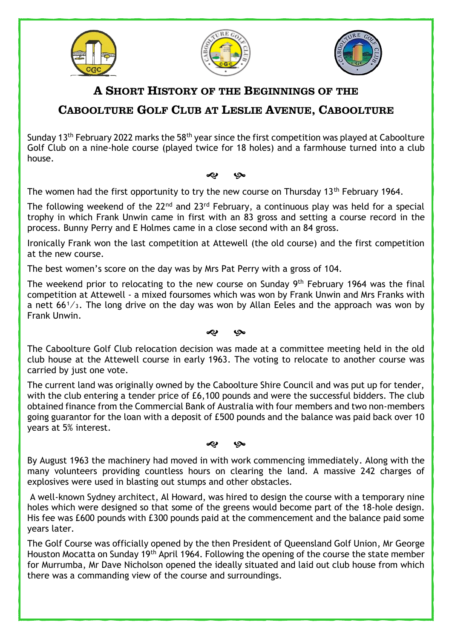





## A SHORT HISTORY OF THE BEGINNINGS OF THE

## CABOOLTURE GOLF CLUB AT LESLIE AVENUE, CABOOLTURE

Sunday 13th February 2022 marks the 58th year since the first competition was played at Caboolture Golf Club on a nine-hole course (played twice for 18 holes) and a farmhouse turned into a club house.

� �

The women had the first opportunity to try the new course on Thursday 13<sup>th</sup> February 1964.

The following weekend of the  $22^{nd}$  and  $23^{rd}$  February, a continuous play was held for a special trophy in which Frank Unwin came in first with an 83 gross and setting a course record in the process. Bunny Perry and E Holmes came in a close second with an 84 gross.

Ironically Frank won the last competition at Attewell (the old course) and the first competition at the new course.

The best women's score on the day was by Mrs Pat Perry with a gross of 104.

The weekend prior to relocating to the new course on Sunday 9<sup>th</sup> February 1964 was the final competition at Attewell - a mixed foursomes which was won by Frank Unwin and Mrs Franks with a nett  $66<sup>1</sup>/<sub>3</sub>$ . The long drive on the day was won by Allan Eeles and the approach was won by Frank Unwin.

## � �

The Caboolture Golf Club relocation decision was made at a committee meeting held in the old club house at the Attewell course in early 1963. The voting to relocate to another course was carried by just one vote.

The current land was originally owned by the Caboolture Shire Council and was put up for tender, with the club entering a tender price of £6,100 pounds and were the successful bidders. The club obtained finance from the Commercial Bank of Australia with four members and two non-members going guarantor for the loan with a deposit of £500 pounds and the balance was paid back over 10 years at 5% interest.

## � �

By August 1963 the machinery had moved in with work commencing immediately. Along with the many volunteers providing countless hours on clearing the land. A massive 242 charges of explosives were used in blasting out stumps and other obstacles.

A well-known Sydney architect, Al Howard, was hired to design the course with a temporary nine holes which were designed so that some of the greens would become part of the 18-hole design. His fee was £600 pounds with £300 pounds paid at the commencement and the balance paid some years later.

The Golf Course was officially opened by the then President of Queensland Golf Union, Mr George Houston Mocatta on Sunday 19th April 1964. Following the opening of the course the state member for Murrumba, Mr Dave Nicholson opened the ideally situated and laid out club house from which there was a commanding view of the course and surroundings.